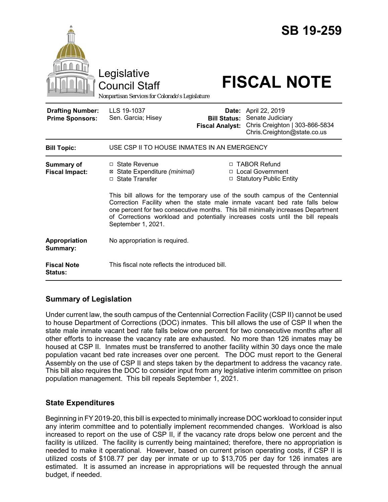|                                                   | Legislative<br><b>Council Staff</b><br>Nonpartisan Services for Colorado's Legislature                                                                                                   |                                                                                                                                                                                                                                 | <b>SB 19-259</b><br><b>FISCAL NOTE</b>                                                                    |
|---------------------------------------------------|------------------------------------------------------------------------------------------------------------------------------------------------------------------------------------------|---------------------------------------------------------------------------------------------------------------------------------------------------------------------------------------------------------------------------------|-----------------------------------------------------------------------------------------------------------|
| <b>Drafting Number:</b><br><b>Prime Sponsors:</b> | LLS 19-1037<br>Sen. Garcia; Hisey                                                                                                                                                        | <b>Bill Status:</b><br><b>Fiscal Analyst:</b>                                                                                                                                                                                   | Date: April 22, 2019<br>Senate Judiciary<br>Chris Creighton   303-866-5834<br>Chris.Creighton@state.co.us |
| <b>Bill Topic:</b>                                | USE CSP II TO HOUSE INMATES IN AN EMERGENCY                                                                                                                                              |                                                                                                                                                                                                                                 |                                                                                                           |
| Summary of<br><b>Fiscal Impact:</b>               | $\Box$ State Revenue<br>⊠ State Expenditure (minimal)<br>□ State Transfer                                                                                                                | □ TABOR Refund<br>□ Local Government<br>□ Statutory Public Entity<br>This bill allows for the temporary use of the south campus of the Centennial<br>Correction Facility when the state male inmate vacant bed rate falls below |                                                                                                           |
|                                                   | one percent for two consecutive months. This bill minimally increases Department<br>of Corrections workload and potentially increases costs until the bill repeals<br>September 1, 2021. |                                                                                                                                                                                                                                 |                                                                                                           |
| Appropriation<br>Summary:                         | No appropriation is required.                                                                                                                                                            |                                                                                                                                                                                                                                 |                                                                                                           |
| <b>Fiscal Note</b><br>Status:                     | This fiscal note reflects the introduced bill.                                                                                                                                           |                                                                                                                                                                                                                                 |                                                                                                           |

## **Summary of Legislation**

Under current law, the south campus of the Centennial Correction Facility (CSP II) cannot be used to house Department of Corrections (DOC) inmates. This bill allows the use of CSP II when the state male inmate vacant bed rate falls below one percent for two consecutive months after all other efforts to increase the vacancy rate are exhausted. No more than 126 inmates may be housed at CSP II. Inmates must be transferred to another facility within 30 days once the male population vacant bed rate increases over one percent. The DOC must report to the General Assembly on the use of CSP II and steps taken by the department to address the vacancy rate. This bill also requires the DOC to consider input from any legislative interim committee on prison population management. This bill repeals September 1, 2021.

## **State Expenditures**

Beginning in FY 2019-20, this bill is expected to minimally increase DOC workload to consider input any interim committee and to potentially implement recommended changes. Workload is also increased to report on the use of CSP II, if the vacancy rate drops below one percent and the facility is utilized. The facility is currently being maintained; therefore, there no appropriation is needed to make it operational. However, based on current prison operating costs, if CSP II is utilized costs of \$108.77 per day per inmate or up to \$13,705 per day for 126 inmates are estimated. It is assumed an increase in appropriations will be requested through the annual budget, if needed.